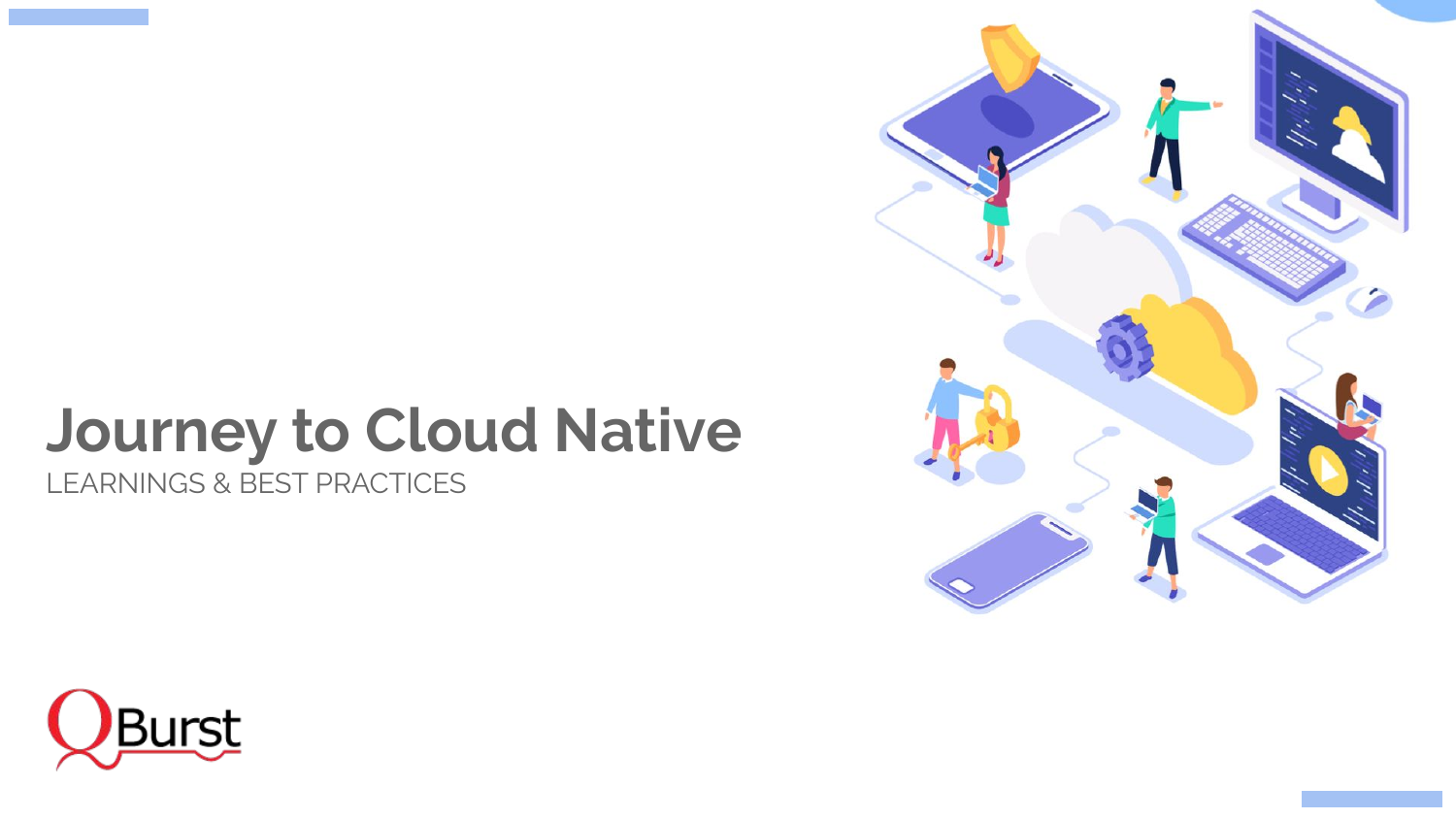# **Journey to Cloud Native**

LEARNINGS & BEST PRACTICES



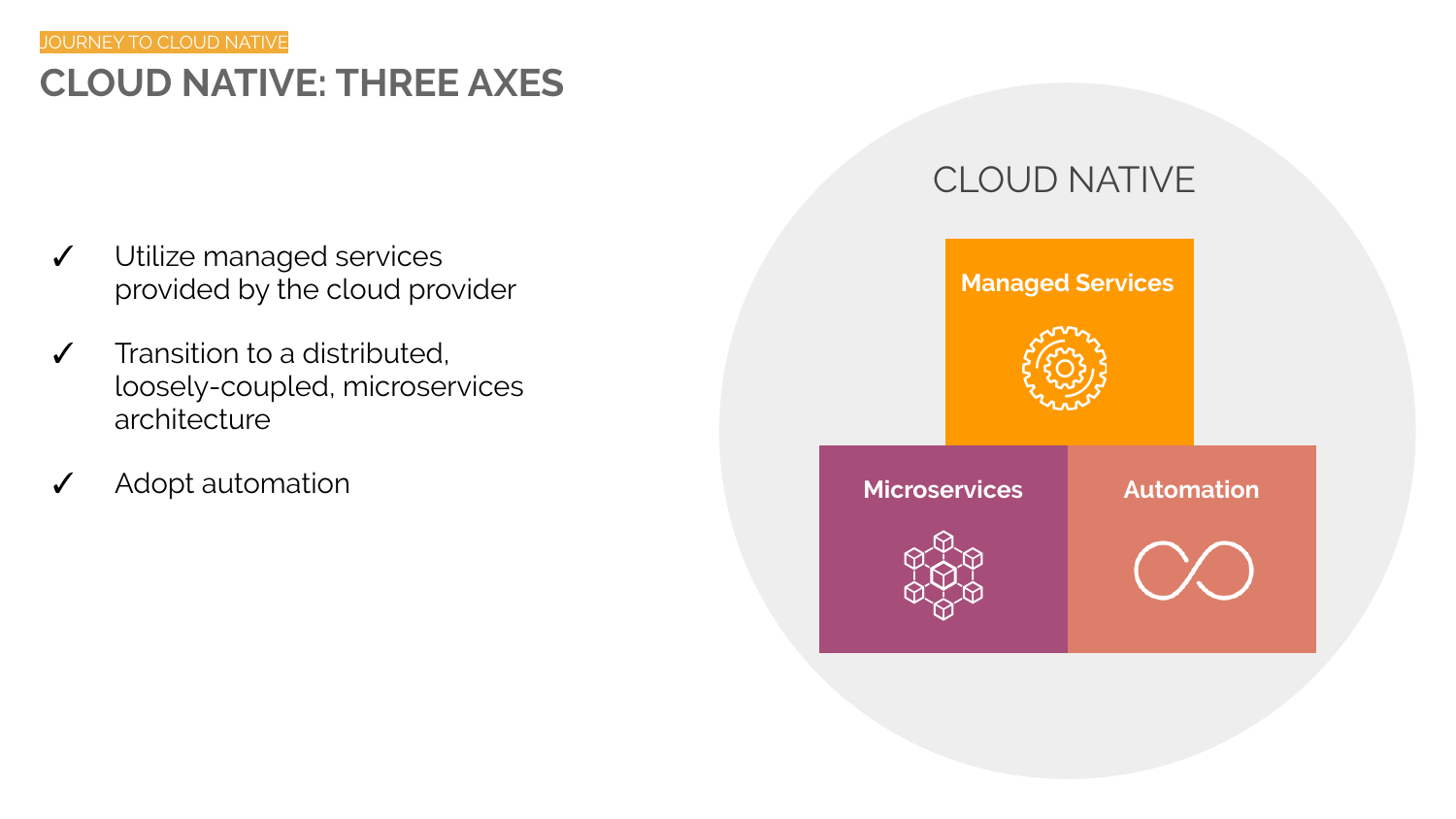# **CLOUD NATIVE: THREE AXES**

- ✓ Utilize managed services provided by the cloud provider
- ✓ Transition to a distributed, loosely-coupled, microservices architecture
- Adopt automation

### CLOUD NATIVE

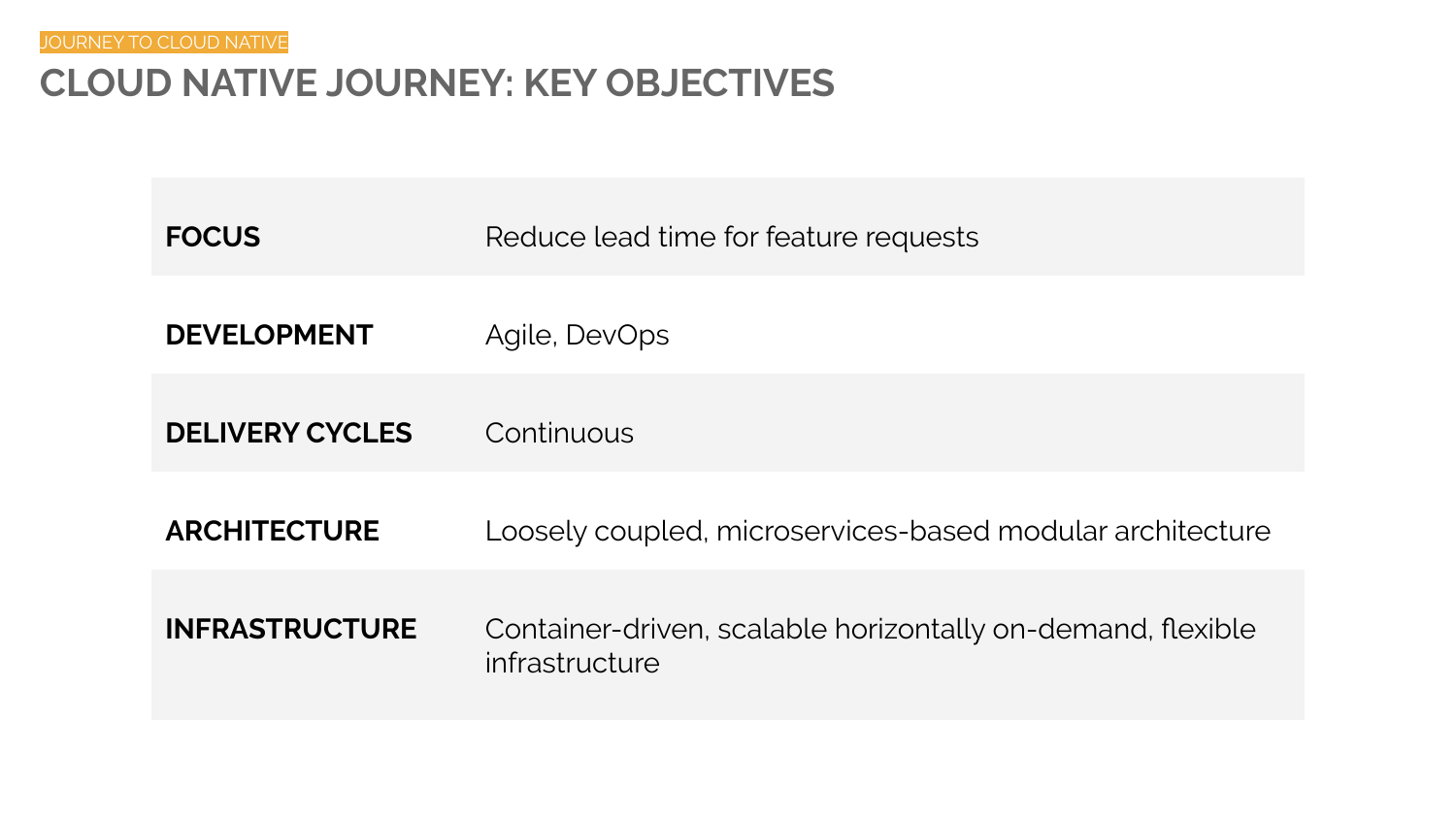## **CLOUD NATIVE JOURNEY: KEY OBJECTIVES**

| <b>FOCUS</b>           | Reduce lead time for feature requests                                         |
|------------------------|-------------------------------------------------------------------------------|
| <b>DEVELOPMENT</b>     | Agile, DevOps                                                                 |
| <b>DELIVERY CYCLES</b> | Continuous                                                                    |
| <b>ARCHITECTURE</b>    | Loosely coupled, microservices-based modular architecture                     |
| <b>INFRASTRUCTURE</b>  | Container-driven, scalable horizontally on-demand, flexible<br>infrastructure |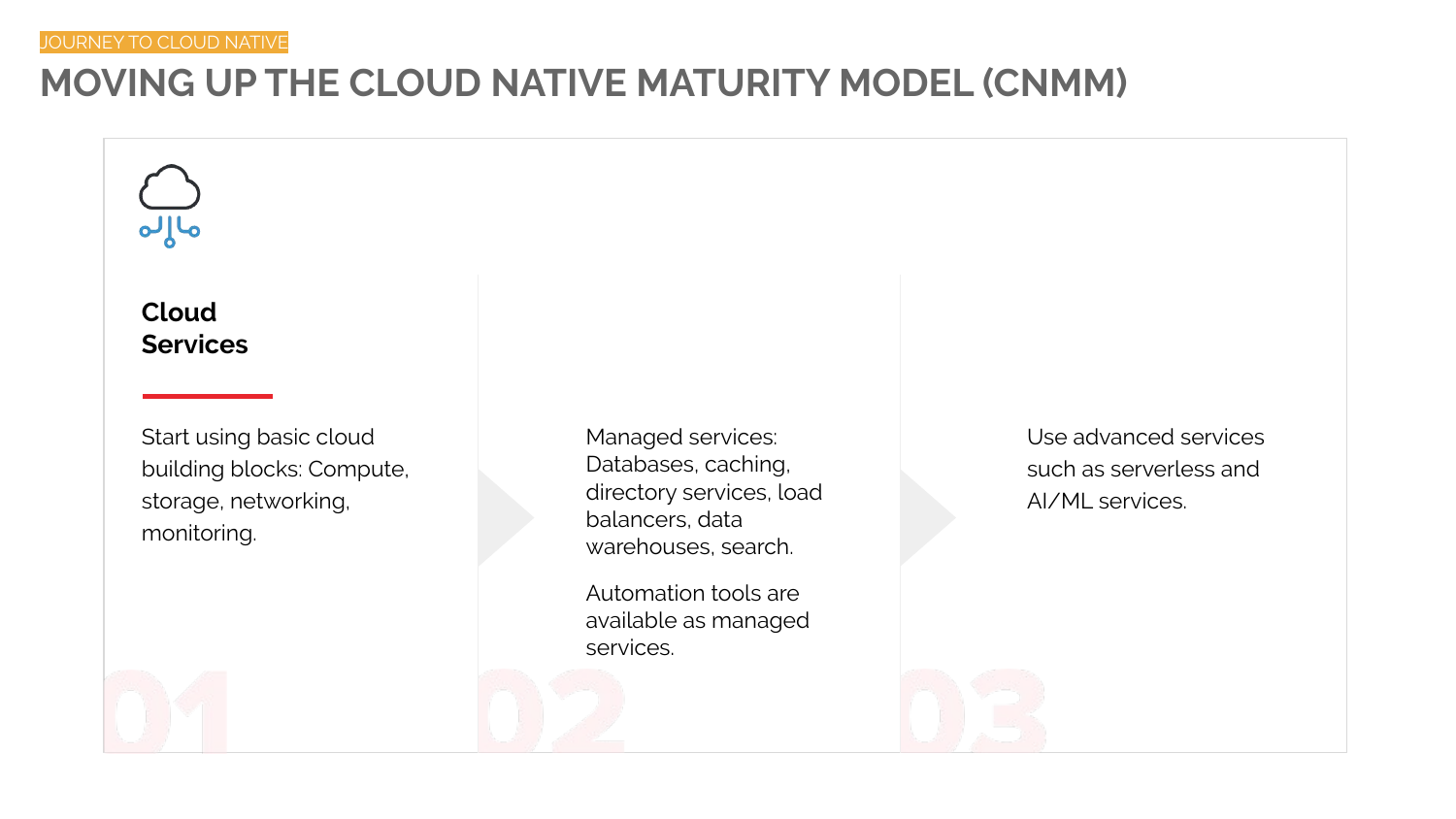# **MOVING UP THE CLOUD NATIVE MATURITY MODEL (CNMM)**

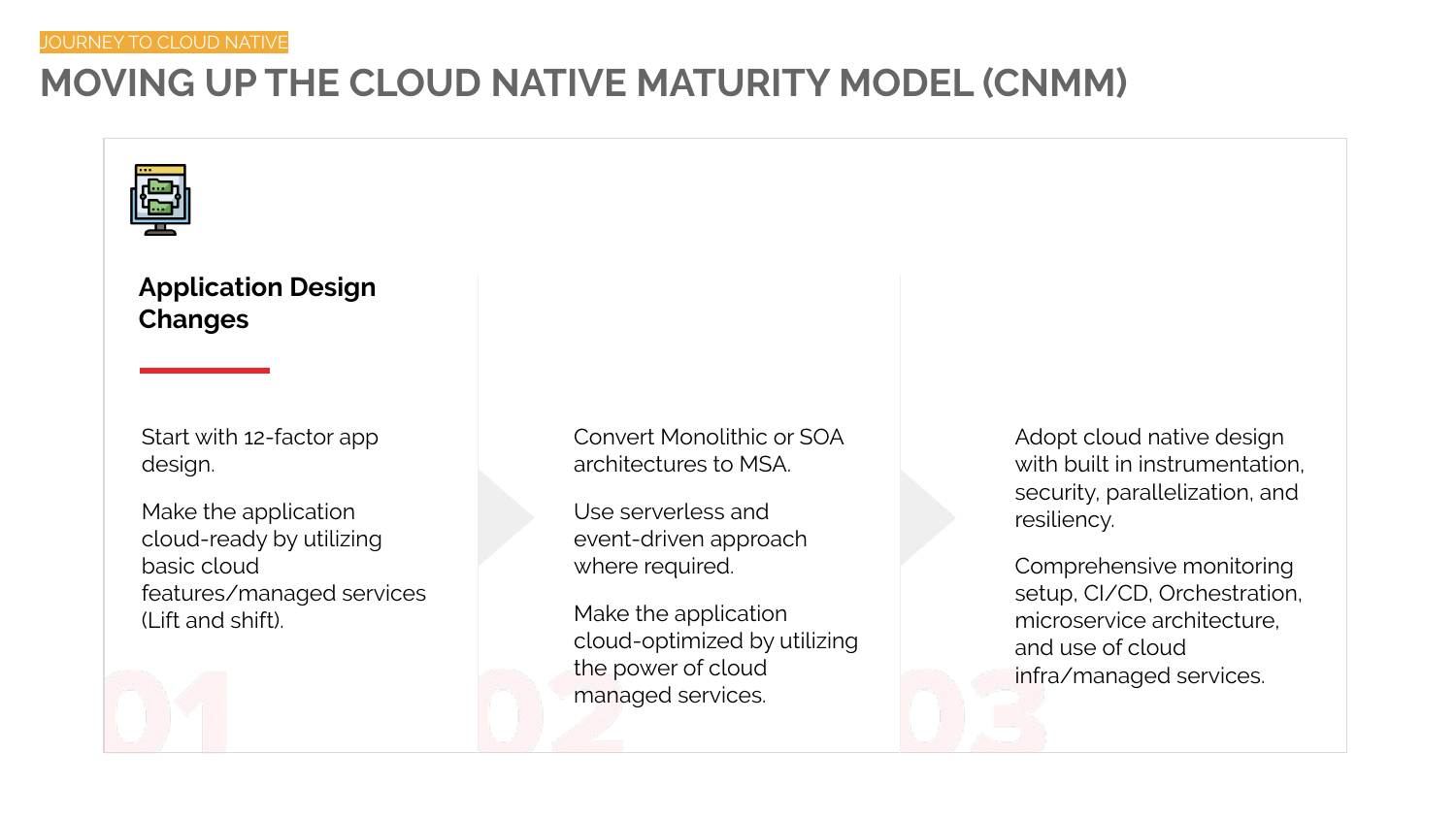# **MOVING UP THE CLOUD NATIVE MATURITY MODEL (CNMM)**



### **Application Design Changes**

Start with 12-factor app design.

Make the application cloud-ready by utilizing basic cloud features/managed services (Lift and shift).

Convert Monolithic or SOA architectures to MSA.

Use serverless and event-driven approach where required.

Make the application cloud-optimized by utilizing the power of cloud managed services.

Adopt cloud native design with built in instrumentation. security, parallelization, and resiliency.

Comprehensive monitoring setup, CI/CD, Orchestration, microservice architecture, and use of cloud infra/managed services.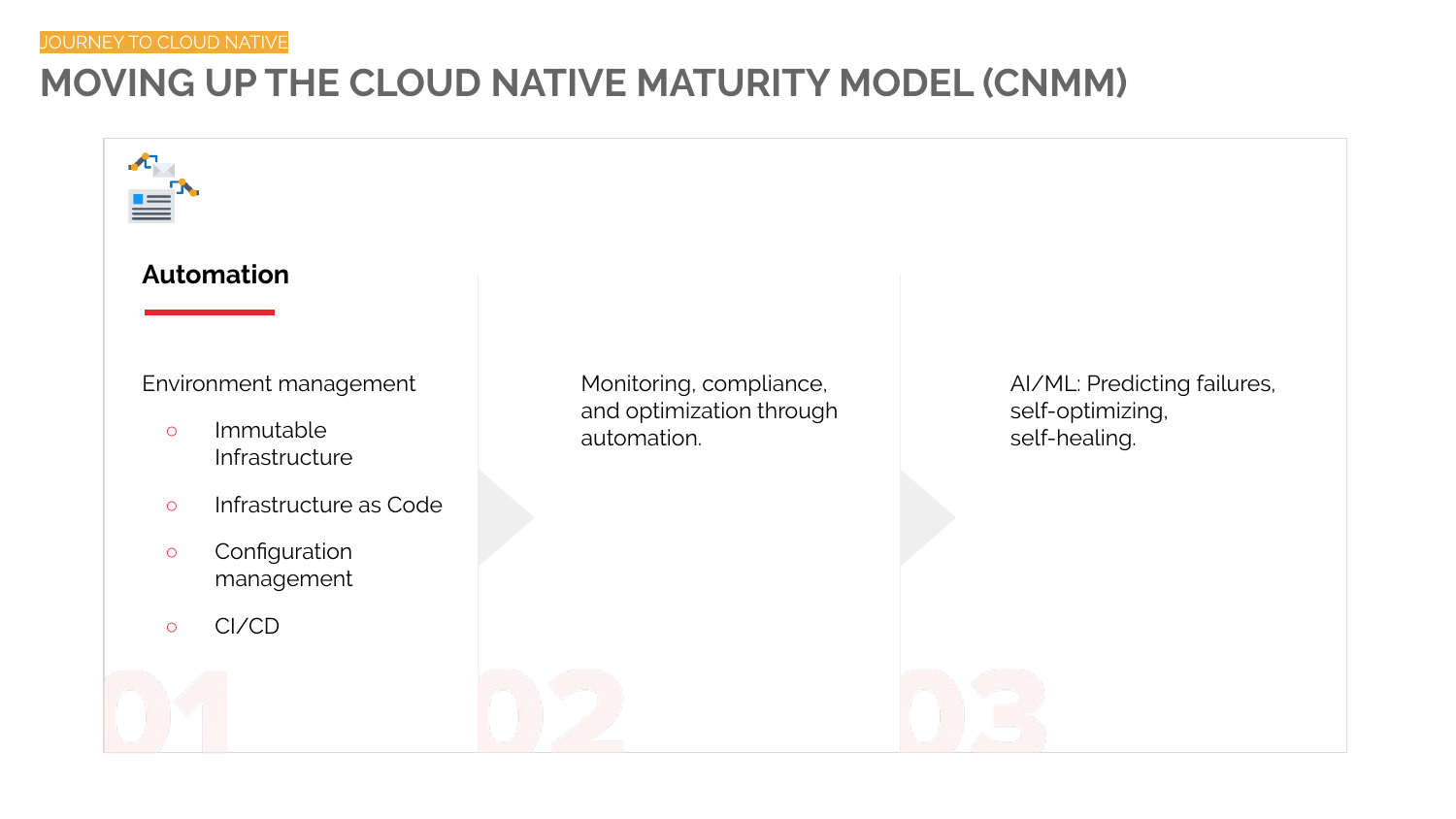# **MOVING UP THE CLOUD NATIVE MATURITY MODEL (CNMM)**

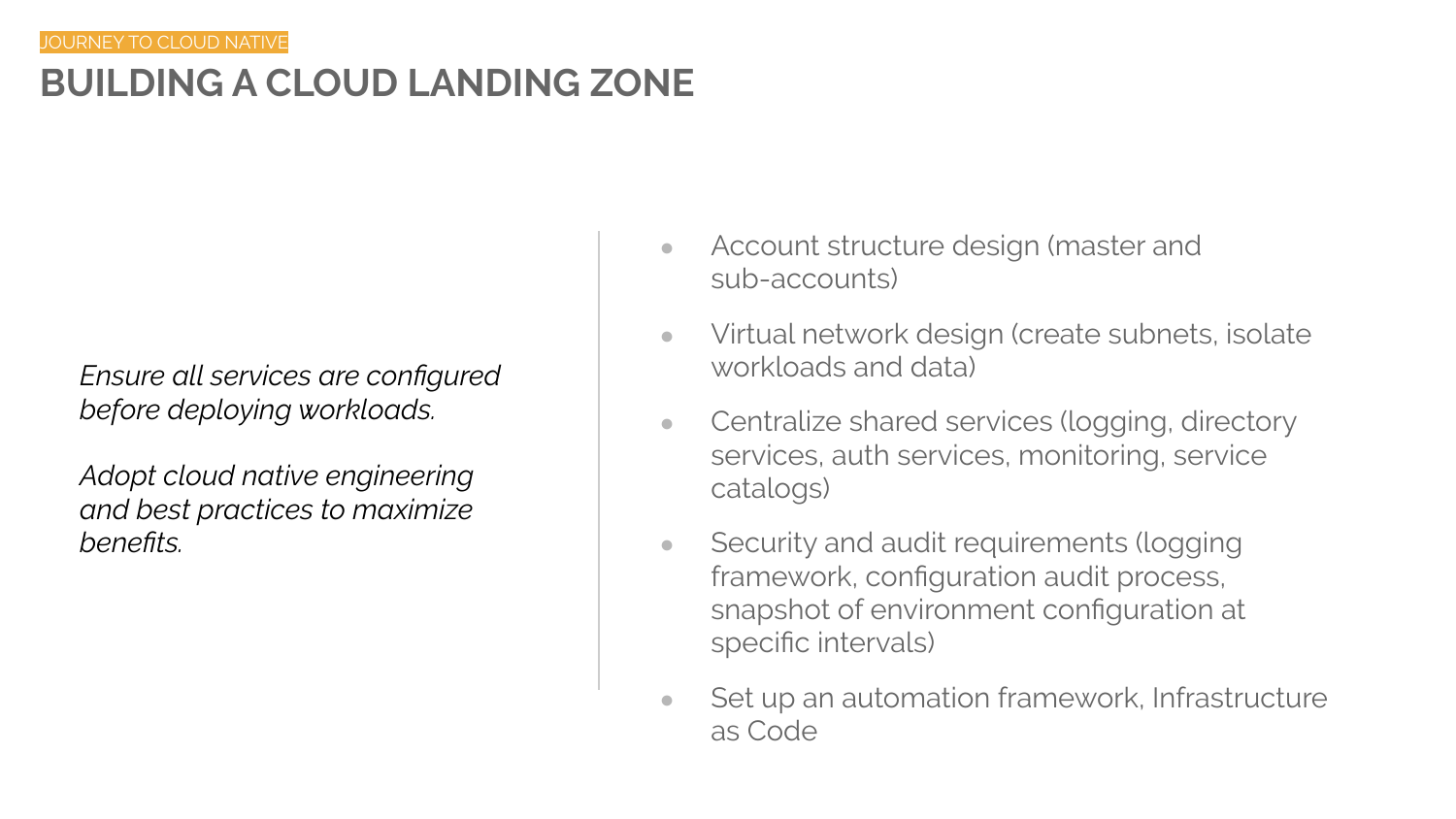# **BUILDING A CLOUD LANDING ZONE**

*Ensure all services are configured before deploying workloads.*

*Adopt cloud native engineering and best practices to maximize benefits.*

- Account structure design (master and sub-accounts)
- Virtual network design (create subnets, isolate workloads and data)
- Centralize shared services (logging, directory services, auth services, monitoring, service catalogs)
- Security and audit requirements (logging framework, configuration audit process, snapshot of environment configuration at specific intervals)
- Set up an automation framework, Infrastructure as Code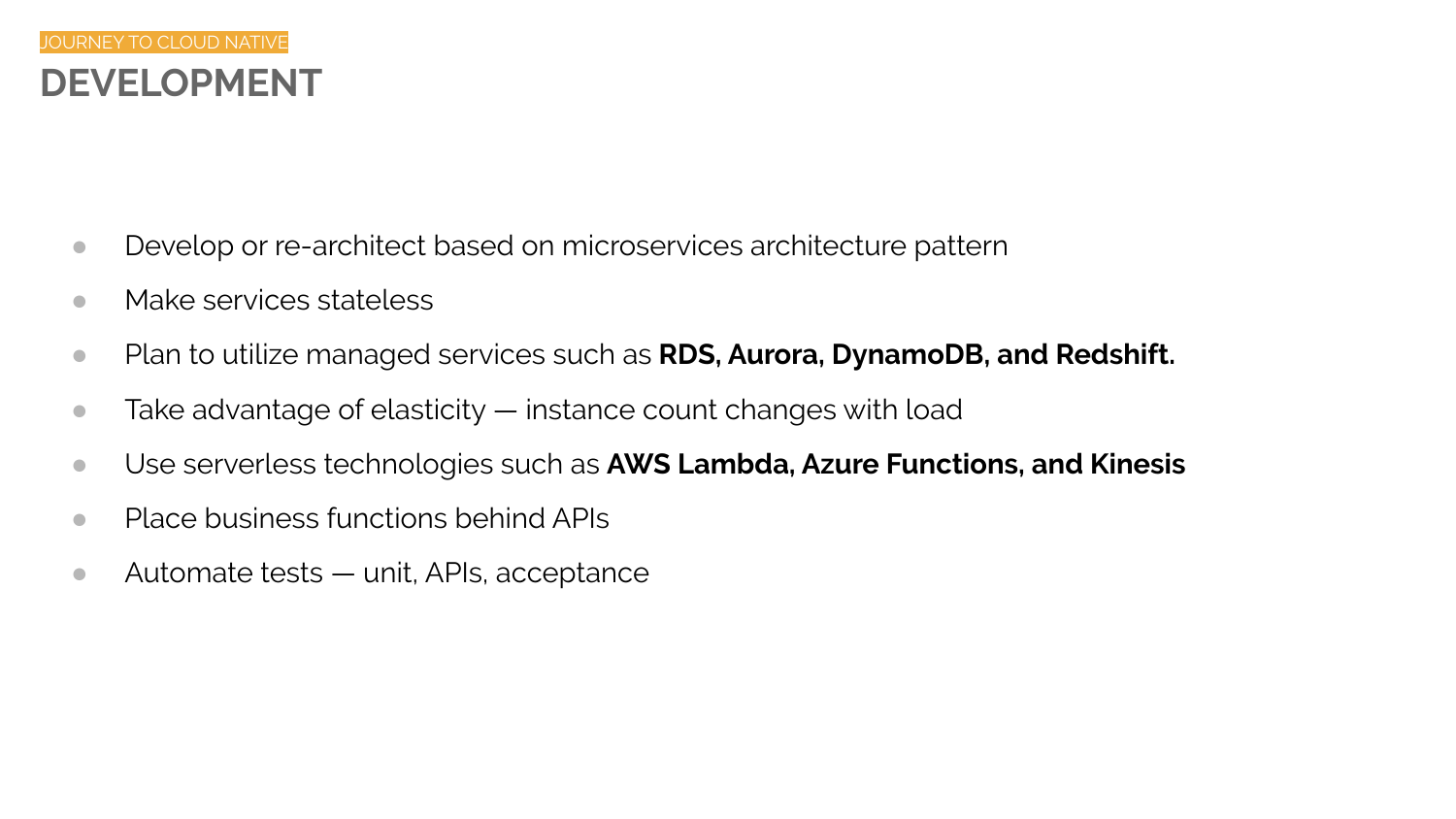- Develop or re-architect based on microservices architecture pattern
- Make services stateless
- Plan to utilize managed services such as **RDS, Aurora, DynamoDB, and Redshift.**
- $\bullet$  Take advantage of elasticity  $-$  instance count changes with load
- Use serverless technologies such as **AWS Lambda, Azure Functions, and Kinesis**
- Place business functions behind APIs
- Automate tests unit, APIs, acceptance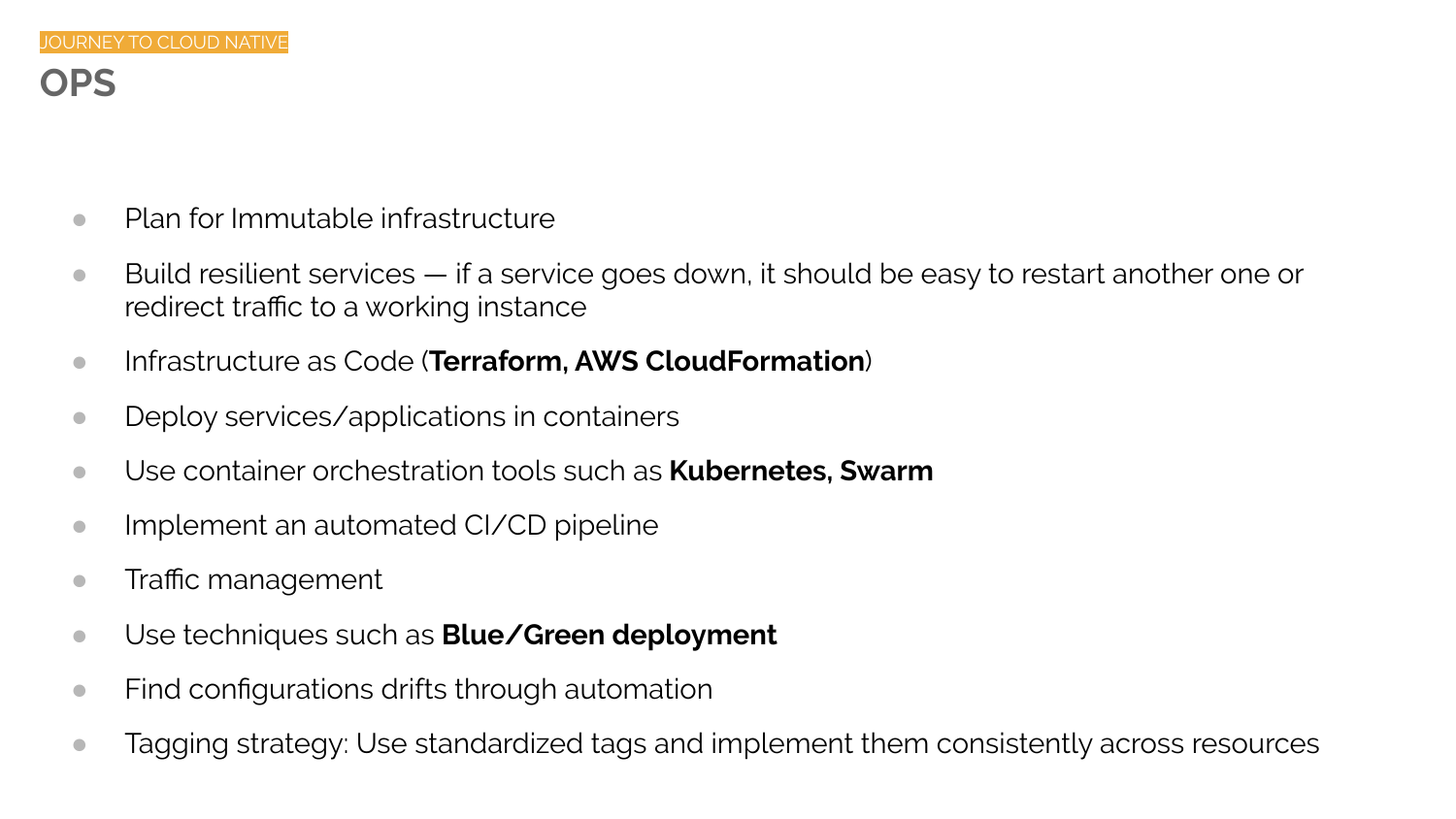# **OPS**

- Plan for Immutable infrastructure
- $\bullet$  Build resilient services if a service goes down, it should be easy to restart another one or redirect traffic to a working instance
- Infrastructure as Code (**Terraform, AWS CloudFormation**)
- Deploy services/applications in containers
- Use container orchestration tools such as **Kubernetes, Swarm**
- Implement an automated CI/CD pipeline
- Traffic management
- Use techniques such as **Blue/Green deployment**
- Find configurations drifts through automation
- Tagging strategy: Use standardized tags and implement them consistently across resources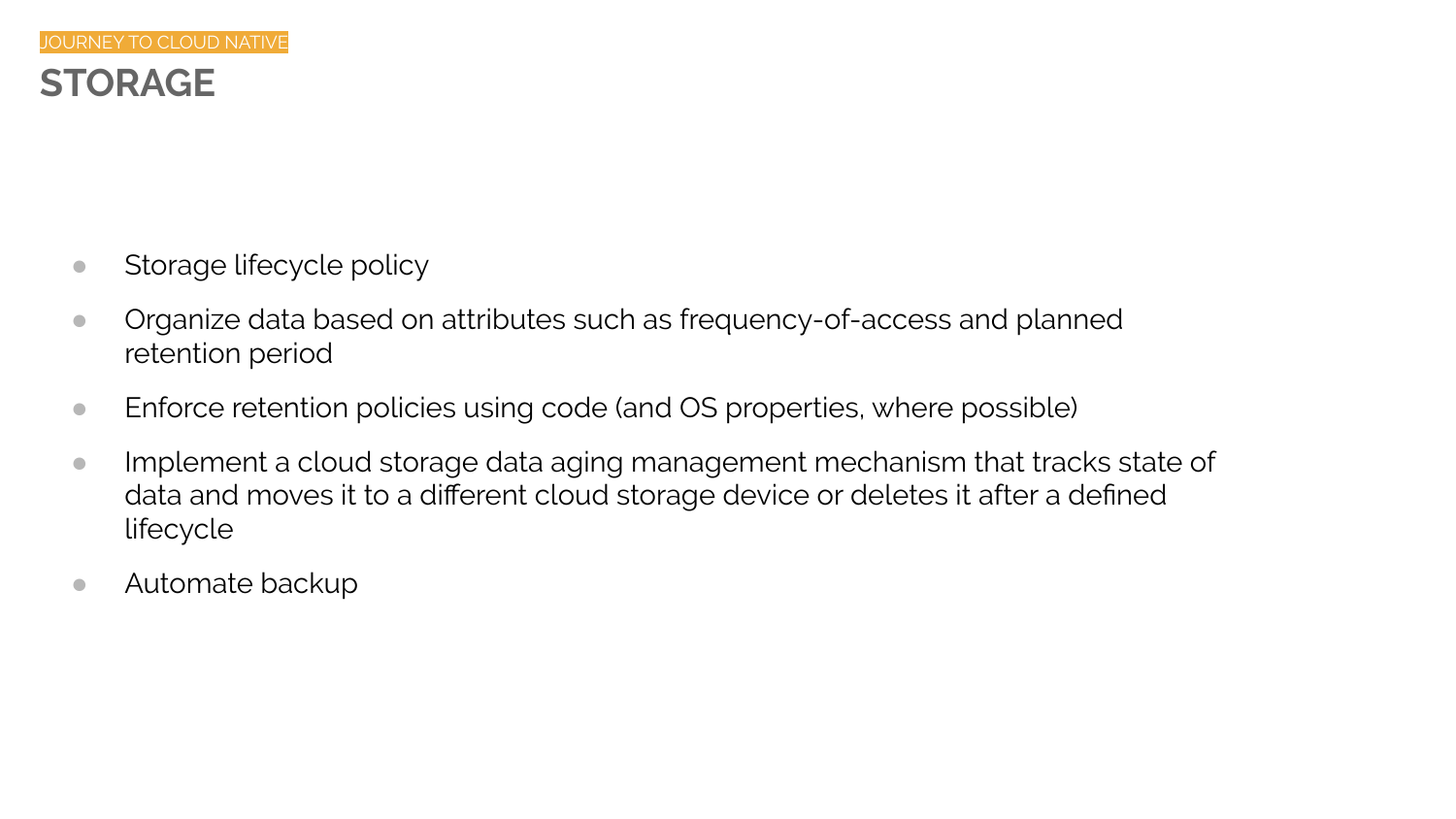- Storage lifecycle policy
- Organize data based on attributes such as frequency-of-access and planned retention period
- Enforce retention policies using code (and OS properties, where possible)
- Implement a cloud storage data aging management mechanism that tracks state of data and moves it to a different cloud storage device or deletes it after a defined lifecycle
- Automate backup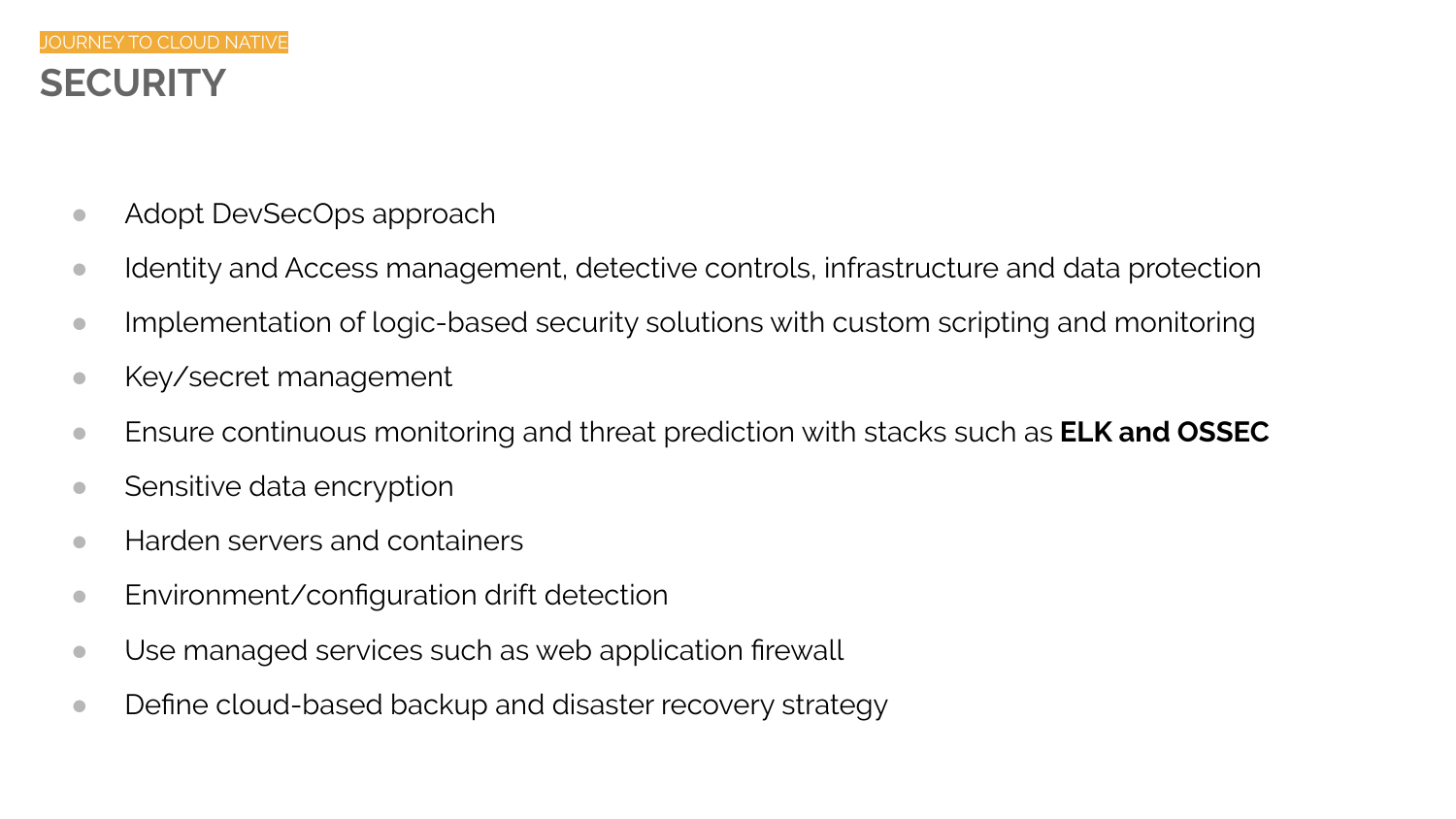- Adopt DevSecOps approach
- Identity and Access management, detective controls, infrastructure and data protection
- Implementation of logic-based security solutions with custom scripting and monitoring
- Key/secret management
- Ensure continuous monitoring and threat prediction with stacks such as **ELK and OSSEC**
- Sensitive data encryption
- Harden servers and containers
- Environment/configuration drift detection
- Use managed services such as web application firewall
- Define cloud-based backup and disaster recovery strategy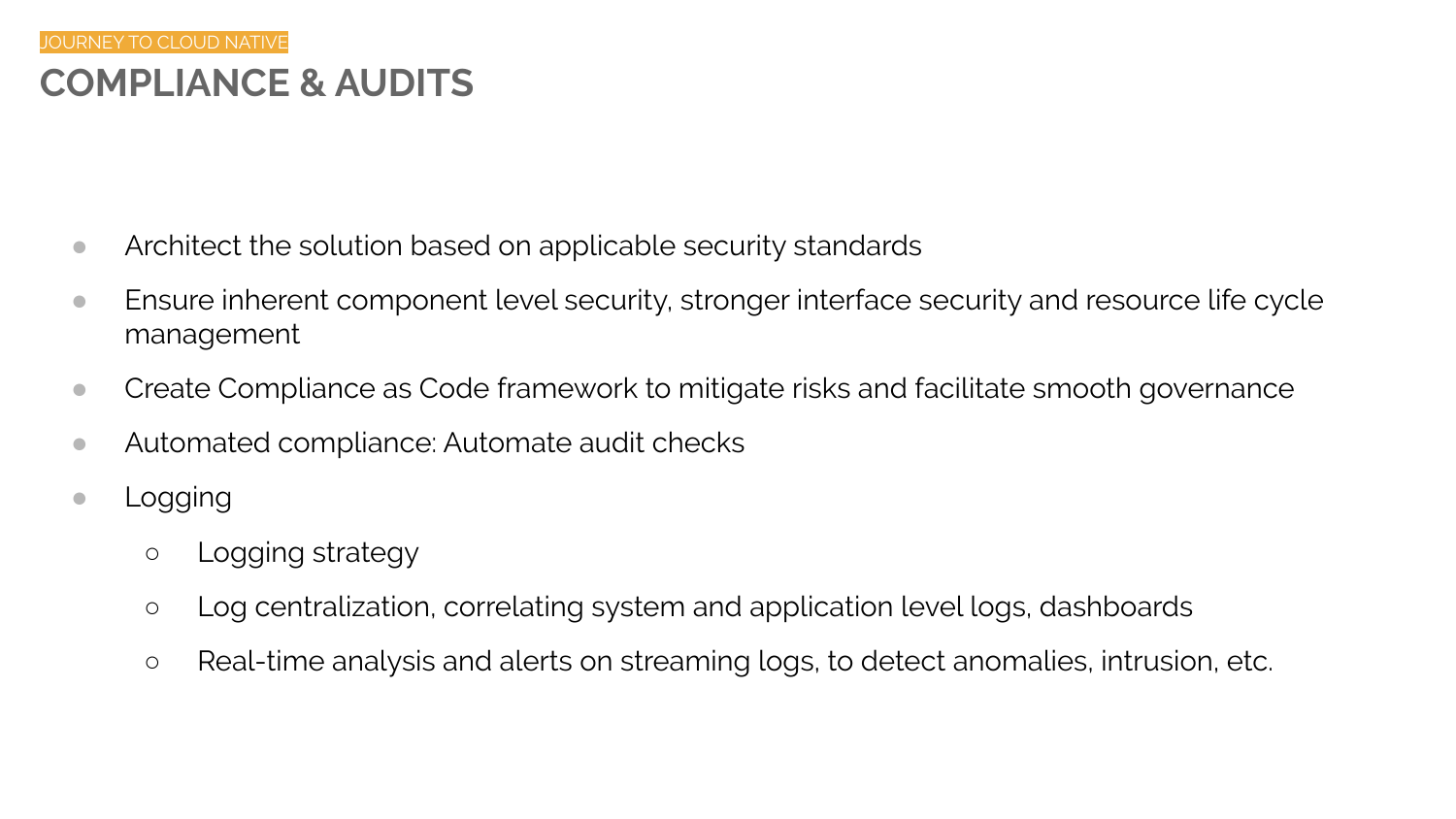### **COMPLIANCE & AUDITS** JOURNEY TO CLOUD NATIVE

- Architect the solution based on applicable security standards
- Ensure inherent component level security, stronger interface security and resource life cycle management
- Create Compliance as Code framework to mitigate risks and facilitate smooth governance
- Automated compliance: Automate audit checks
- Logging
	- Logging strategy
	- Log centralization, correlating system and application level logs, dashboards
	- Real-time analysis and alerts on streaming logs, to detect anomalies, intrusion, etc.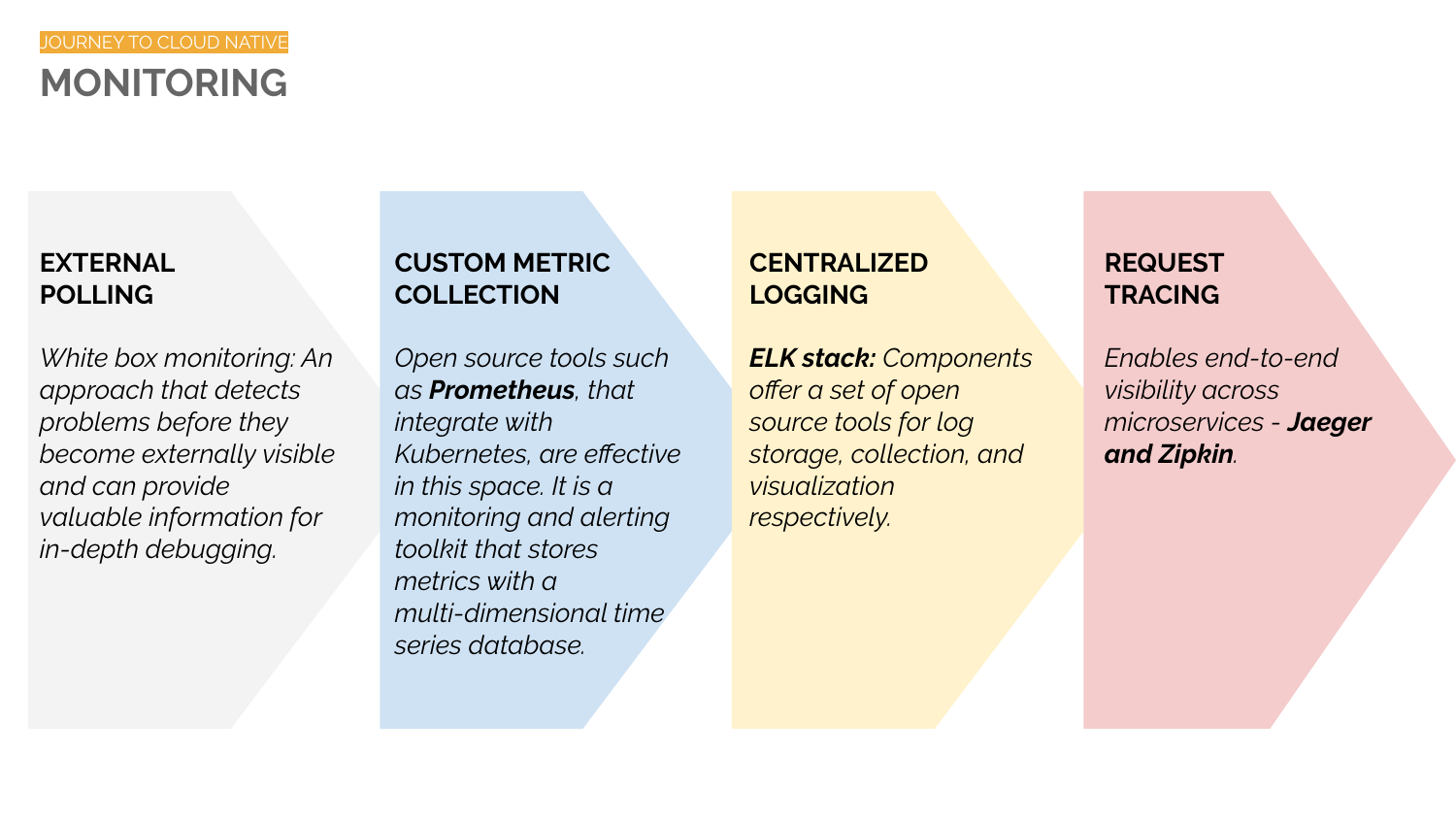### **MONITORING** JOURNEY TO CLOUD NATIVE

### **EXTERNAL POLLING**

*White box monitoring: An approach that detects problems before they become externally visible and can provide valuable information for in-depth debugging.*

### **CUSTOM METRIC COLLECTION**

*Open source tools such as Prometheus, that integrate with Kubernetes, are effective in this space. It is a monitoring and alerting toolkit that stores metrics with a multi-dimensional time series database.* 

### **CENTRALIZED LOGGING**

*ELK stack: Components offer a set of open source tools for log storage, collection, and visualization respectively.*

### **REQUEST TRACING**

*Enables end-to-end visibility across microservices - Jaeger and Zipkin.*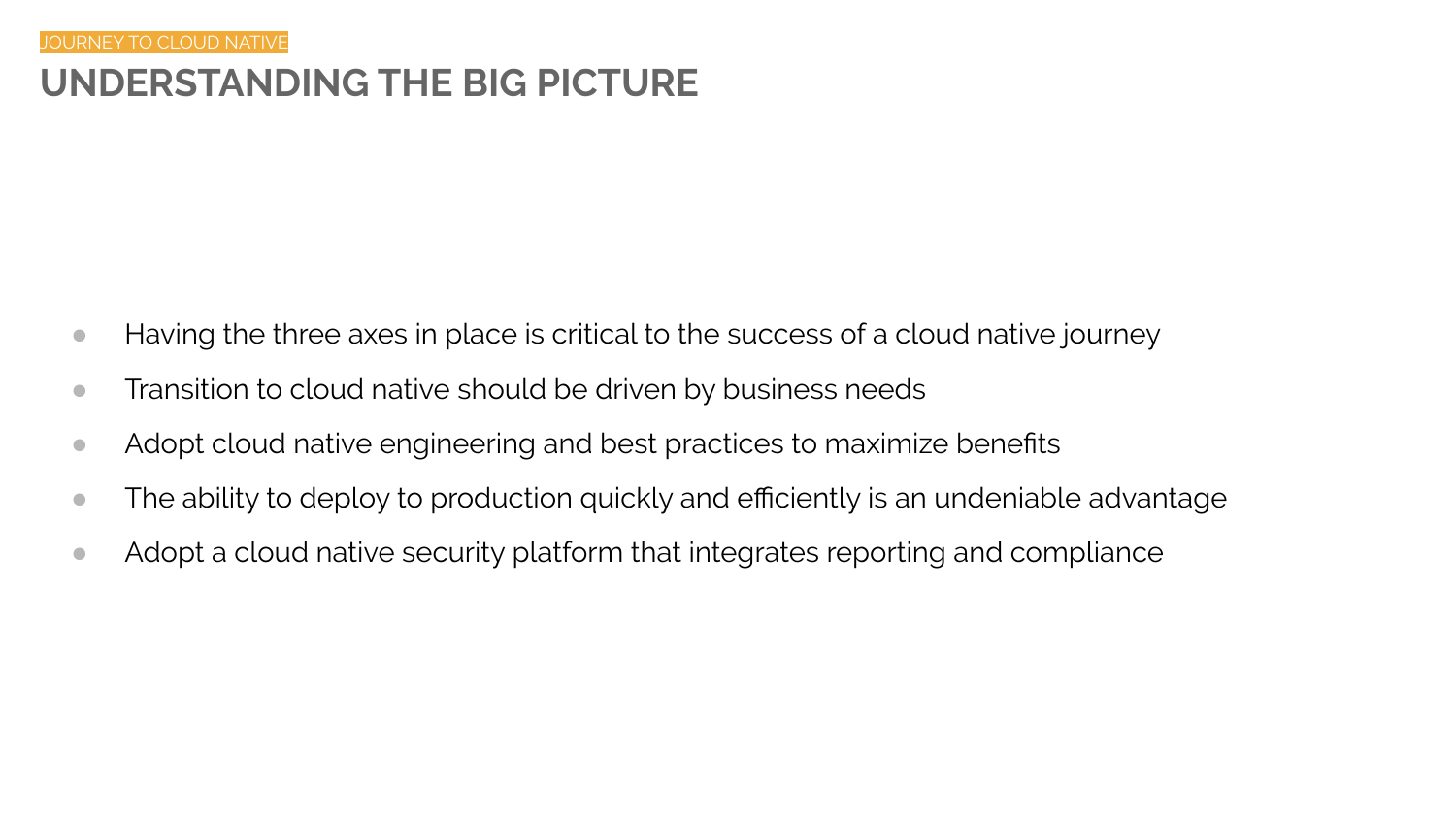# **UNDERSTANDING THE BIG PICTURE**

- Having the three axes in place is critical to the success of a cloud native journey
- Transition to cloud native should be driven by business needs
- Adopt cloud native engineering and best practices to maximize benefits
- The ability to deploy to production quickly and efficiently is an undeniable advantage
- Adopt a cloud native security platform that integrates reporting and compliance